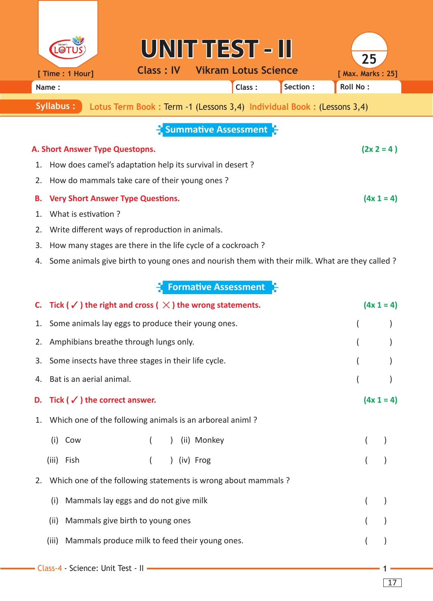|                                                                                      | [ Time : 1 Hour]                                                                              | <b>Class: IV</b> | UNIT TEST - III             | <b>Vikram Lotus Science</b> |          | 25<br>[ Max. Marks: 25] |  |  |  |  |
|--------------------------------------------------------------------------------------|-----------------------------------------------------------------------------------------------|------------------|-----------------------------|-----------------------------|----------|-------------------------|--|--|--|--|
|                                                                                      | Name:                                                                                         |                  |                             | Class:                      | Section: | <b>Roll No:</b>         |  |  |  |  |
| Syllabus:<br>Lotus Term Book : Term -1 (Lessons 3,4) Individual Book : (Lessons 3,4) |                                                                                               |                  |                             |                             |          |                         |  |  |  |  |
| <b>Summative Assessment</b>                                                          |                                                                                               |                  |                             |                             |          |                         |  |  |  |  |
| $(2x 2 = 4)$<br>A. Short Answer Type Questopns.                                      |                                                                                               |                  |                             |                             |          |                         |  |  |  |  |
| 1.                                                                                   | How does camel's adaptation help its survival in desert?                                      |                  |                             |                             |          |                         |  |  |  |  |
| 2.                                                                                   | How do mammals take care of their young ones?                                                 |                  |                             |                             |          |                         |  |  |  |  |
| В.                                                                                   | $(4x 1 = 4)$<br><b>Very Short Answer Type Questions.</b>                                      |                  |                             |                             |          |                         |  |  |  |  |
| 1.                                                                                   | What is estivation?                                                                           |                  |                             |                             |          |                         |  |  |  |  |
| 2.                                                                                   | Write different ways of reproduction in animals.                                              |                  |                             |                             |          |                         |  |  |  |  |
| 3.                                                                                   | How many stages are there in the life cycle of a cockroach?                                   |                  |                             |                             |          |                         |  |  |  |  |
| 4.                                                                                   | Some animals give birth to young ones and nourish them with their milk. What are they called? |                  |                             |                             |          |                         |  |  |  |  |
|                                                                                      |                                                                                               |                  | <b>Formative Assessment</b> |                             |          |                         |  |  |  |  |

|    | C. Tick ( $\checkmark$ ) the right and cross ( $\checkmark$ ) the wrong statements. |  | $(4x 1 = 4)$ |                                                          |  |  |              |  |  |
|----|-------------------------------------------------------------------------------------|--|--------------|----------------------------------------------------------|--|--|--------------|--|--|
|    | 1. Some animals lay eggs to produce their young ones.                               |  |              |                                                          |  |  |              |  |  |
| 2. | Amphibians breathe through lungs only.                                              |  |              |                                                          |  |  |              |  |  |
| 3. | Some insects have three stages in their life cycle.                                 |  |              |                                                          |  |  |              |  |  |
| 4. | Bat is an aerial animal.                                                            |  |              |                                                          |  |  |              |  |  |
| D. | Tick ( $\checkmark$ ) the correct answer.                                           |  |              |                                                          |  |  | $(4x 1 = 4)$ |  |  |
| 1. |                                                                                     |  |              | Which one of the following animals is an arboreal animl? |  |  |              |  |  |
|    | (i) Cow                                                                             |  |              | (ii) Monkey                                              |  |  |              |  |  |
|    | (iii)<br>Fish                                                                       |  |              | ) (iv) Frog                                              |  |  |              |  |  |
| 2. | Which one of the following statements is wrong about mammals ?                      |  |              |                                                          |  |  |              |  |  |
|    | Mammals lay eggs and do not give milk<br>(i)                                        |  |              |                                                          |  |  |              |  |  |
|    | (ii)<br>Mammals give birth to young ones                                            |  |              |                                                          |  |  |              |  |  |
|    | (iii)<br>Mammals produce milk to feed their young ones.                             |  |              |                                                          |  |  |              |  |  |
|    | - Class-4 - Science: Unit Test - II -                                               |  |              |                                                          |  |  |              |  |  |